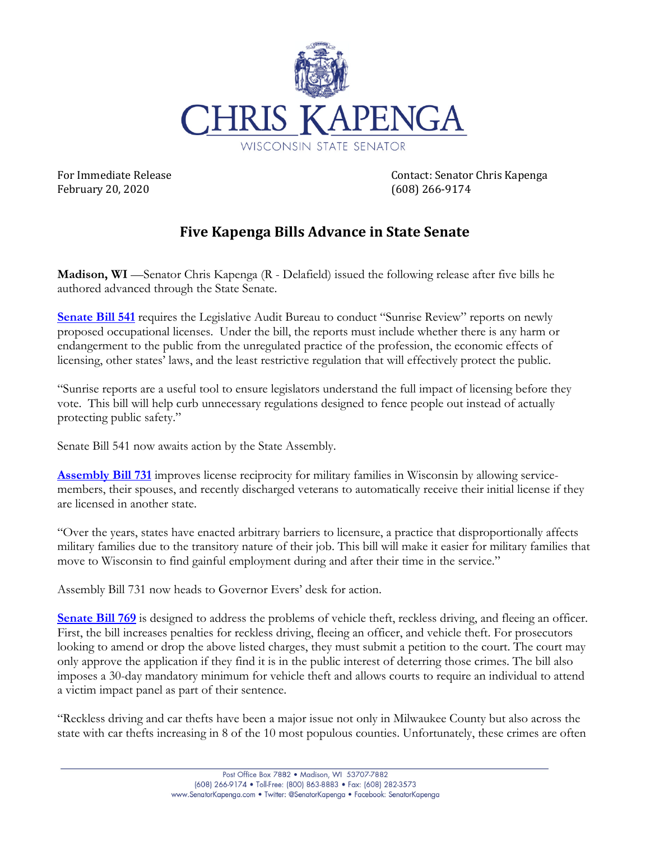

February 20, 2020 (608) 266‐9174

For Immediate Release *For Immediate Release Contact: Senator Chris Kapenga* 

## **Five Kapenga Bills Advance in State Senate**

**Madison, WI** —Senator Chris Kapenga (R - Delafield) issued the following release after five bills he authored advanced through the State Senate.

**Senate Bill 541** requires the Legislative Audit Bureau to conduct "Sunrise Review" reports on newly proposed occupational licenses. Under the bill, the reports must include whether there is any harm or endangerment to the public from the unregulated practice of the profession, the economic effects of licensing, other states' laws, and the least restrictive regulation that will effectively protect the public.

"Sunrise reports are a useful tool to ensure legislators understand the full impact of licensing before they vote. This bill will help curb unnecessary regulations designed to fence people out instead of actually protecting public safety."

Senate Bill 541 now awaits action by the State Assembly.

**Assembly Bill 731** improves license reciprocity for military families in Wisconsin by allowing servicemembers, their spouses, and recently discharged veterans to automatically receive their initial license if they are licensed in another state.

"Over the years, states have enacted arbitrary barriers to licensure, a practice that disproportionally affects military families due to the transitory nature of their job. This bill will make it easier for military families that move to Wisconsin to find gainful employment during and after their time in the service."

Assembly Bill 731 now heads to Governor Evers' desk for action.

**Senate Bill 769** is designed to address the problems of vehicle theft, reckless driving, and fleeing an officer. First, the bill increases penalties for reckless driving, fleeing an officer, and vehicle theft. For prosecutors looking to amend or drop the above listed charges, they must submit a petition to the court. The court may only approve the application if they find it is in the public interest of deterring those crimes. The bill also imposes a 30-day mandatory minimum for vehicle theft and allows courts to require an individual to attend a victim impact panel as part of their sentence.

"Reckless driving and car thefts have been a major issue not only in Milwaukee County but also across the state with car thefts increasing in 8 of the 10 most populous counties. Unfortunately, these crimes are often